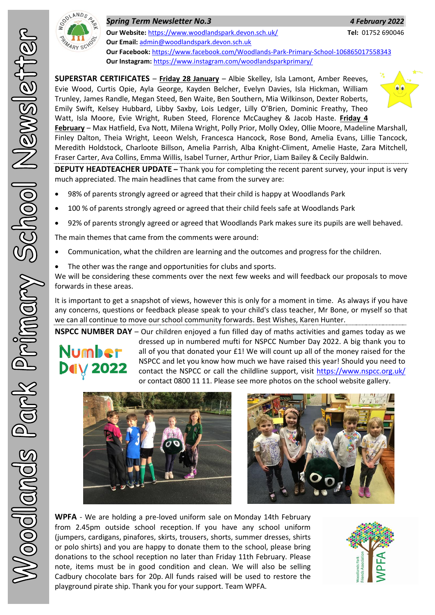

| <b>Spring Term Newsletter No.3</b> |  |  |  |  |  |  |  |  |
|------------------------------------|--|--|--|--|--|--|--|--|
|------------------------------------|--|--|--|--|--|--|--|--|

**Our Website:** <https://www.woodlandspark.devon.sch.uk/> **Tel:** 01752 690046 **Our Email:** [admin@woodlandspark.devon.sch.uk](mailto:admin@woodlandspark.devon.sch.uk) **Our Facebook:** <https://www.facebook.com/Woodlands-Park-Primary-School-106865017558343> **Our Instagram:** <https://www.instagram.com/woodlandsparkprimary/>

**SUPERSTAR CERTIFICATES** – **Friday 28 January** – Albie Skelley, Isla Lamont, Amber Reeves, Evie Wood, Curtis Opie, Ayla George, Kayden Belcher, Evelyn Davies, Isla Hickman, William Trunley, James Randle, Megan Steed, Ben Waite, Ben Southern, Mia Wilkinson, Dexter Roberts, Emily Swift, Kelsey Hubbard, Libby Saxby, Lois Ledger, Lilly O'Brien, Dominic Freathy, Theo Watt, Isla Moore, Evie Wright, Ruben Steed, Florence McCaughey & Jacob Haste. **Friday 4** 



*Spring Term Newsletter No.3 4 February 2022*

**February** – Max Hatfield, Eva Nott, Milena Wright, Polly Prior, Molly Oxley, Ollie Moore, Madeline Marshall, Finley Dalton, Theia Wright, Leeon Welsh, Francesca Hancock, Rose Bond, Amelia Evans, Lillie Tancock, Meredith Holdstock, Charloote Billson, Amelia Parrish, Alba Knight-Climent, Amelie Haste, Zara Mitchell, Fraser Carter, Ava Collins, Emma Willis, Isabel Turner, Arthur Prior, Liam Bailey & Cecily Baldwin.

**DEPUTY HEADTEACHER UPDATE –** Thank you for completing the recent parent survey, your input is very much appreciated. The main headlines that came from the survey are:

- 98% of parents strongly agreed or agreed that their child is happy at Woodlands Park
- 100 % of parents strongly agreed or agreed that their child feels safe at Woodlands Park
- 92% of parents strongly agreed or agreed that Woodlands Park makes sure its pupils are well behaved.

The main themes that came from the comments were around:

- Communication, what the children are learning and the outcomes and progress for the children.
- The other was the range and opportunities for clubs and sports.

We will be considering these comments over the next few weeks and will feedback our proposals to move forwards in these areas.

It is important to get a snapshot of views, however this is only for a moment in time. As always if you have any concerns, questions or feedback please speak to your child's class teacher, Mr Bone, or myself so that we can all continue to move our school community forwards. Best Wishes, Karen Hunter.

**NSPCC NUMBER DAY** – Our children enjoyed a fun filled day of maths activities and games today as we dressed up in numbered mufti for NSPCC Number Day 2022. A big thank you to Number all of you that donated your £1! We will count up all of the money raised for the NSPCC and let you know how much we have raised this year! Should you need to **Dely 2022** contact the NSPCC or call the childline support, visit<https://www.nspcc.org.uk/> or contact 0800 11 11. Please see more photos on the school website gallery.





**WPFA** - We are holding a pre-loved uniform sale on Monday 14th February from 2.45pm outside school reception. If you have any school uniform (jumpers, cardigans, pinafores, skirts, trousers, shorts, summer dresses, shirts or polo shirts) and you are happy to donate them to the school, please bring donations to the school reception no later than Friday 11th February. Please note, items must be in good condition and clean. We will also be selling Cadbury chocolate bars for 20p. All funds raised will be used to restore the playground pirate ship. Thank you for your support. Team WPFA.